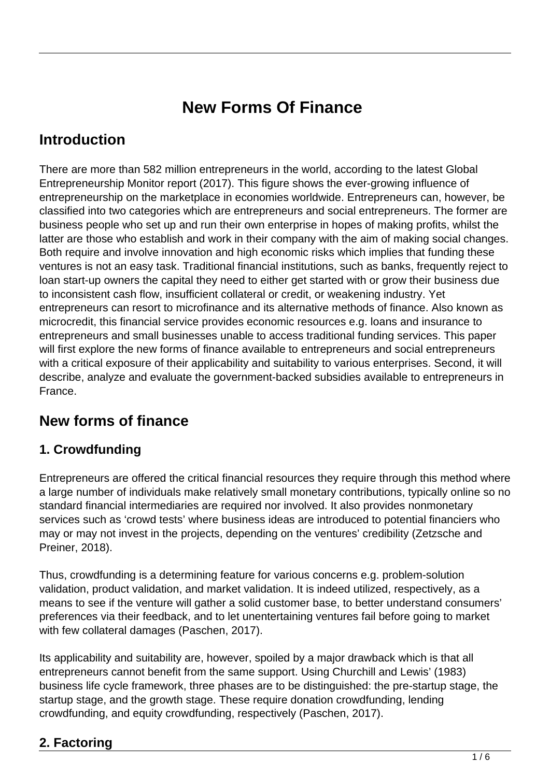# **New Forms Of Finance**

## **Introduction**

There are more than 582 million entrepreneurs in the world, according to the latest Global Entrepreneurship Monitor report (2017). This figure shows the ever-growing influence of entrepreneurship on the marketplace in economies worldwide. Entrepreneurs can, however, be classified into two categories which are entrepreneurs and social entrepreneurs. The former are business people who set up and run their own enterprise in hopes of making profits, whilst the latter are those who establish and work in their company with the aim of making social changes. Both require and involve innovation and high economic risks which implies that funding these ventures is not an easy task. Traditional financial institutions, such as banks, frequently reject to loan start-up owners the capital they need to either get started with or grow their business due to inconsistent cash flow, insufficient collateral or credit, or weakening industry. Yet entrepreneurs can resort to microfinance and its alternative methods of finance. Also known as microcredit, this financial service provides economic resources e.g. loans and insurance to entrepreneurs and small businesses unable to access traditional funding services. This paper will first explore the new forms of finance available to entrepreneurs and social entrepreneurs with a critical exposure of their applicability and suitability to various enterprises. Second, it will describe, analyze and evaluate the government-backed subsidies available to entrepreneurs in France.

# **New forms of finance**

#### **1. Crowdfunding**

Entrepreneurs are offered the critical financial resources they require through this method where a large number of individuals make relatively small monetary contributions, typically online so no standard financial intermediaries are required nor involved. It also provides nonmonetary services such as 'crowd tests' where business ideas are introduced to potential financiers who may or may not invest in the projects, depending on the ventures' credibility (Zetzsche and Preiner, 2018).

Thus, crowdfunding is a determining feature for various concerns e.g. problem-solution validation, product validation, and market validation. It is indeed utilized, respectively, as a means to see if the venture will gather a solid customer base, to better understand consumers' preferences via their feedback, and to let unentertaining ventures fail before going to market with few collateral damages (Paschen, 2017).

Its applicability and suitability are, however, spoiled by a major drawback which is that all entrepreneurs cannot benefit from the same support. Using Churchill and Lewis' (1983) business life cycle framework, three phases are to be distinguished: the pre-startup stage, the startup stage, and the growth stage. These require donation crowdfunding, lending crowdfunding, and equity crowdfunding, respectively (Paschen, 2017).

### **2. Factoring**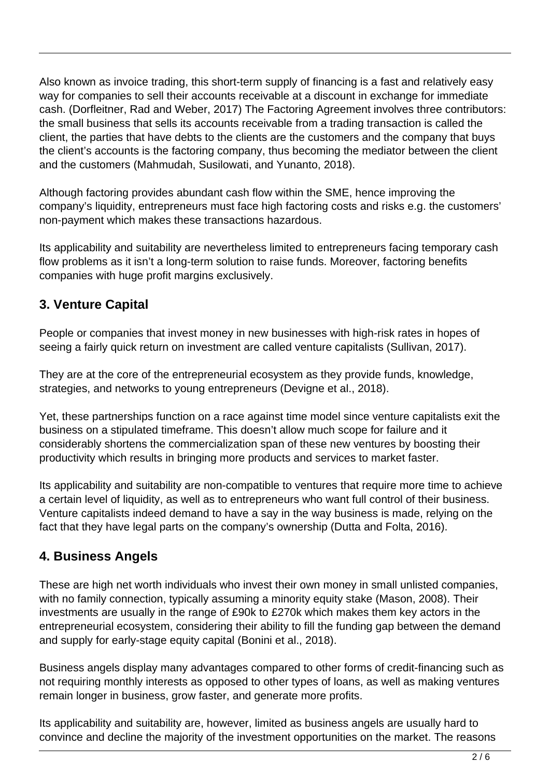Also known as invoice trading, this short-term supply of financing is a fast and relatively easy way for companies to sell their accounts receivable at a discount in exchange for immediate cash. (Dorfleitner, Rad and Weber, 2017) The Factoring Agreement involves three contributors: the small business that sells its accounts receivable from a trading transaction is called the client, the parties that have debts to the clients are the customers and the company that buys the client's accounts is the factoring company, thus becoming the mediator between the client and the customers (Mahmudah, Susilowati, and Yunanto, 2018).

Although factoring provides abundant cash flow within the SME, hence improving the company's liquidity, entrepreneurs must face high factoring costs and risks e.g. the customers' non-payment which makes these transactions hazardous.

Its applicability and suitability are nevertheless limited to entrepreneurs facing temporary cash flow problems as it isn't a long-term solution to raise funds. Moreover, factoring benefits companies with huge profit margins exclusively.

#### **3. Venture Capital**

People or companies that invest money in new businesses with high-risk rates in hopes of seeing a fairly quick return on investment are called venture capitalists (Sullivan, 2017).

They are at the core of the entrepreneurial ecosystem as they provide funds, knowledge, strategies, and networks to young entrepreneurs (Devigne et al., 2018).

Yet, these partnerships function on a race against time model since venture capitalists exit the business on a stipulated timeframe. This doesn't allow much scope for failure and it considerably shortens the commercialization span of these new ventures by boosting their productivity which results in bringing more products and services to market faster.

Its applicability and suitability are non-compatible to ventures that require more time to achieve a certain level of liquidity, as well as to entrepreneurs who want full control of their business. Venture capitalists indeed demand to have a say in the way business is made, relying on the fact that they have legal parts on the company's ownership (Dutta and Folta, 2016).

#### **4. Business Angels**

These are high net worth individuals who invest their own money in small unlisted companies, with no family connection, typically assuming a minority equity stake (Mason, 2008). Their investments are usually in the range of £90k to £270k which makes them key actors in the entrepreneurial ecosystem, considering their ability to fill the funding gap between the demand and supply for early-stage equity capital (Bonini et al., 2018).

Business angels display many advantages compared to other forms of credit-financing such as not requiring monthly interests as opposed to other types of loans, as well as making ventures remain longer in business, grow faster, and generate more profits.

Its applicability and suitability are, however, limited as business angels are usually hard to convince and decline the majority of the investment opportunities on the market. The reasons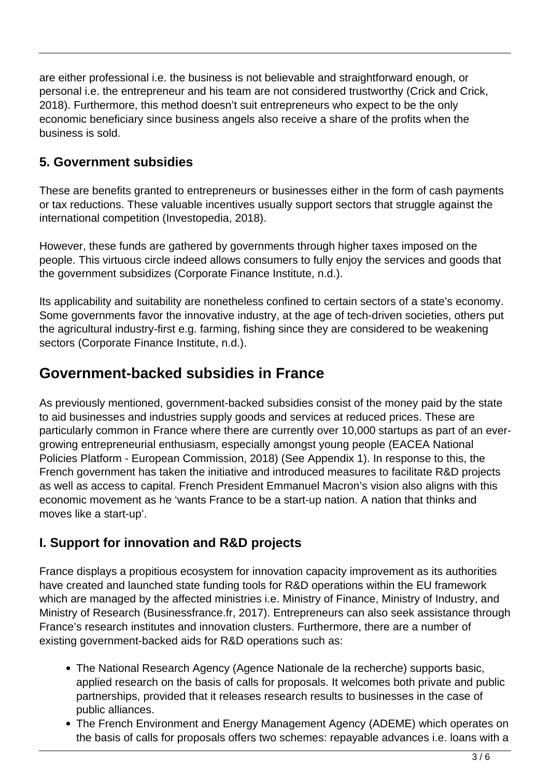are either professional i.e. the business is not believable and straightforward enough, or personal i.e. the entrepreneur and his team are not considered trustworthy (Crick and Crick, 2018). Furthermore, this method doesn't suit entrepreneurs who expect to be the only economic beneficiary since business angels also receive a share of the profits when the business is sold.

#### **5. Government subsidies**

These are benefits granted to entrepreneurs or businesses either in the form of cash payments or tax reductions. These valuable incentives usually support sectors that struggle against the international competition (Investopedia, 2018).

However, these funds are gathered by governments through higher taxes imposed on the people. This virtuous circle indeed allows consumers to fully enjoy the services and goods that the government subsidizes (Corporate Finance Institute, n.d.).

Its applicability and suitability are nonetheless confined to certain sectors of a state's economy. Some governments favor the innovative industry, at the age of tech-driven societies, others put the agricultural industry-first e.g. farming, fishing since they are considered to be weakening sectors (Corporate Finance Institute, n.d.).

### **Government-backed subsidies in France**

As previously mentioned, government-backed subsidies consist of the money paid by the state to aid businesses and industries supply goods and services at reduced prices. These are particularly common in France where there are currently over 10,000 startups as part of an evergrowing entrepreneurial enthusiasm, especially amongst young people (EACEA National Policies Platform - European Commission, 2018) (See Appendix 1). In response to this, the French government has taken the initiative and introduced measures to facilitate R&D projects as well as access to capital. French President Emmanuel Macron's vision also aligns with this economic movement as he 'wants France to be a start-up nation. A nation that thinks and moves like a start-up'.

#### **I. Support for innovation and R&D projects**

France displays a propitious ecosystem for innovation capacity improvement as its authorities have created and launched state funding tools for R&D operations within the EU framework which are managed by the affected ministries i.e. Ministry of Finance, Ministry of Industry, and Ministry of Research (Businessfrance.fr, 2017). Entrepreneurs can also seek assistance through France's research institutes and innovation clusters. Furthermore, there are a number of existing government-backed aids for R&D operations such as:

- The National Research Agency (Agence Nationale de la recherche) supports basic, applied research on the basis of calls for proposals. It welcomes both private and public partnerships, provided that it releases research results to businesses in the case of public alliances.
- The French Environment and Energy Management Agency (ADEME) which operates on the basis of calls for proposals offers two schemes: repayable advances i.e. loans with a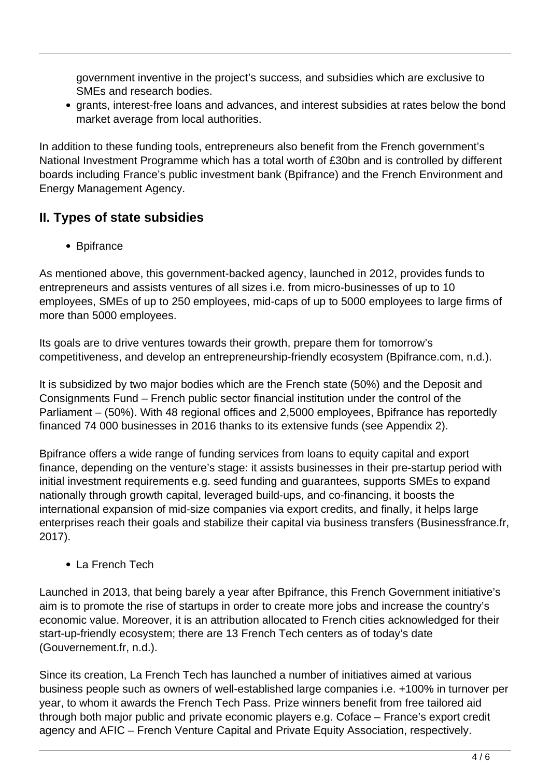government inventive in the project's success, and subsidies which are exclusive to SMEs and research bodies.

grants, interest-free loans and advances, and interest subsidies at rates below the bond market average from local authorities.

In addition to these funding tools, entrepreneurs also benefit from the French government's National Investment Programme which has a total worth of £30bn and is controlled by different boards including France's public investment bank (Bpifrance) and the French Environment and Energy Management Agency.

#### **II. Types of state subsidies**

• Bpifrance

As mentioned above, this government-backed agency, launched in 2012, provides funds to entrepreneurs and assists ventures of all sizes i.e. from micro-businesses of up to 10 employees, SMEs of up to 250 employees, mid-caps of up to 5000 employees to large firms of more than 5000 employees.

Its goals are to drive ventures towards their growth, prepare them for tomorrow's competitiveness, and develop an entrepreneurship-friendly ecosystem (Bpifrance.com, n.d.).

It is subsidized by two major bodies which are the French state (50%) and the Deposit and Consignments Fund – French public sector financial institution under the control of the Parliament – (50%). With 48 regional offices and 2,5000 employees, Bpifrance has reportedly financed 74 000 businesses in 2016 thanks to its extensive funds (see Appendix 2).

Bpifrance offers a wide range of funding services from loans to equity capital and export finance, depending on the venture's stage: it assists businesses in their pre-startup period with initial investment requirements e.g. seed funding and guarantees, supports SMEs to expand nationally through growth capital, leveraged build-ups, and co-financing, it boosts the international expansion of mid-size companies via export credits, and finally, it helps large enterprises reach their goals and stabilize their capital via business transfers (Businessfrance.fr, 2017).

#### ● La French Tech

Launched in 2013, that being barely a year after Bpifrance, this French Government initiative's aim is to promote the rise of startups in order to create more jobs and increase the country's economic value. Moreover, it is an attribution allocated to French cities acknowledged for their start-up-friendly ecosystem; there are 13 French Tech centers as of today's date (Gouvernement.fr, n.d.).

Since its creation, La French Tech has launched a number of initiatives aimed at various business people such as owners of well-established large companies i.e. +100% in turnover per year, to whom it awards the French Tech Pass. Prize winners benefit from free tailored aid through both major public and private economic players e.g. Coface – France's export credit agency and AFIC – French Venture Capital and Private Equity Association, respectively.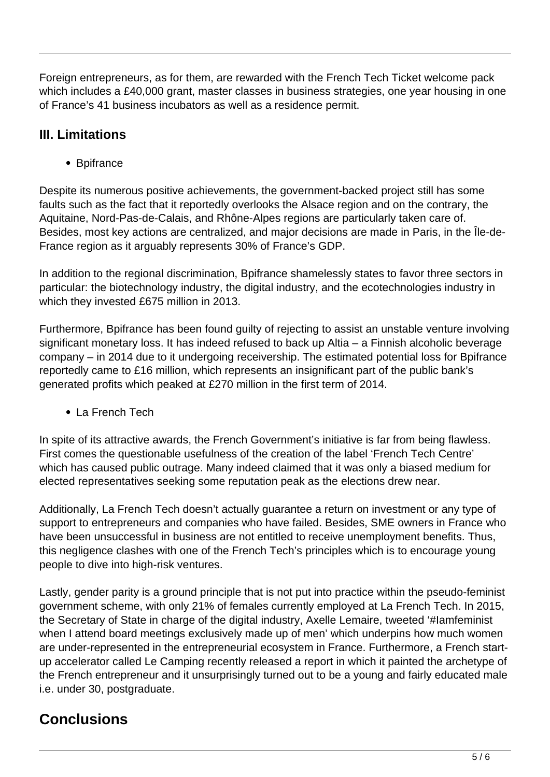Foreign entrepreneurs, as for them, are rewarded with the French Tech Ticket welcome pack which includes a £40,000 grant, master classes in business strategies, one year housing in one of France's 41 business incubators as well as a residence permit.

#### **III. Limitations**

• Bpifrance

Despite its numerous positive achievements, the government-backed project still has some faults such as the fact that it reportedly overlooks the Alsace region and on the contrary, the Aquitaine, Nord-Pas-de-Calais, and Rhône-Alpes regions are particularly taken care of. Besides, most key actions are centralized, and major decisions are made in Paris, in the Île-de-France region as it arguably represents 30% of France's GDP.

In addition to the regional discrimination, Bpifrance shamelessly states to favor three sectors in particular: the biotechnology industry, the digital industry, and the ecotechnologies industry in which they invested £675 million in 2013.

Furthermore, Bpifrance has been found guilty of rejecting to assist an unstable venture involving significant monetary loss. It has indeed refused to back up Altia – a Finnish alcoholic beverage company – in 2014 due to it undergoing receivership. The estimated potential loss for Bpifrance reportedly came to £16 million, which represents an insignificant part of the public bank's generated profits which peaked at £270 million in the first term of 2014.

• La French Tech

In spite of its attractive awards, the French Government's initiative is far from being flawless. First comes the questionable usefulness of the creation of the label 'French Tech Centre' which has caused public outrage. Many indeed claimed that it was only a biased medium for elected representatives seeking some reputation peak as the elections drew near.

Additionally, La French Tech doesn't actually guarantee a return on investment or any type of support to entrepreneurs and companies who have failed. Besides, SME owners in France who have been unsuccessful in business are not entitled to receive unemployment benefits. Thus, this negligence clashes with one of the French Tech's principles which is to encourage young people to dive into high-risk ventures.

Lastly, gender parity is a ground principle that is not put into practice within the pseudo-feminist government scheme, with only 21% of females currently employed at La French Tech. In 2015, the Secretary of State in charge of the digital industry, Axelle Lemaire, tweeted '#Iamfeminist when I attend board meetings exclusively made up of men' which underpins how much women are under-represented in the entrepreneurial ecosystem in France. Furthermore, a French startup accelerator called Le Camping recently released a report in which it painted the archetype of the French entrepreneur and it unsurprisingly turned out to be a young and fairly educated male i.e. under 30, postgraduate.

# **Conclusions**